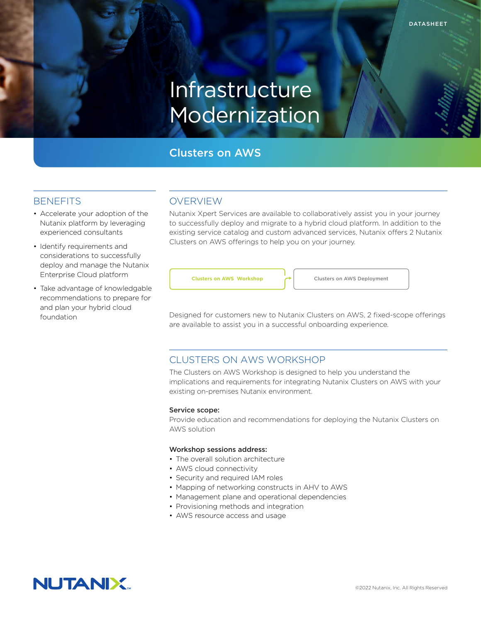# Infrastructure Modernization

# Clusters on AWS

## **BENEFITS**

- Accelerate your adoption of the Nutanix platform by leveraging experienced consultants
- Identify requirements and considerations to successfully deploy and manage the Nutanix Enterprise Cloud platform
- Take advantage of knowledgable recommendations to prepare for and plan your hybrid cloud foundation

## OVERVIEW

Nutanix Xpert Services are available to collaboratively assist you in your journey to successfully deploy and migrate to a hybrid cloud platform. In addition to the existing service catalog and custom advanced services, Nutanix offers 2 Nutanix Clusters on AWS offerings to help you on your journey.

**Clusters on AWS Workshop** Clusters on AWS Deployment

Designed for customers new to Nutanix Clusters on AWS, 2 fixed-scope offerings are available to assist you in a successful onboarding experience.

## CLUSTERS ON AWS WORKSHOP

The Clusters on AWS Workshop is designed to help you understand the implications and requirements for integrating Nutanix Clusters on AWS with your existing on-premises Nutanix environment.

#### Service scope:

Provide education and recommendations for deploying the Nutanix Clusters on AWS solution

#### Workshop sessions address:

- The overall solution architecture
- AWS cloud connectivity
- Security and required IAM roles
- Mapping of networking constructs in AHV to AWS
- Management plane and operational dependencies
- Provisioning methods and integration
- AWS resource access and usage